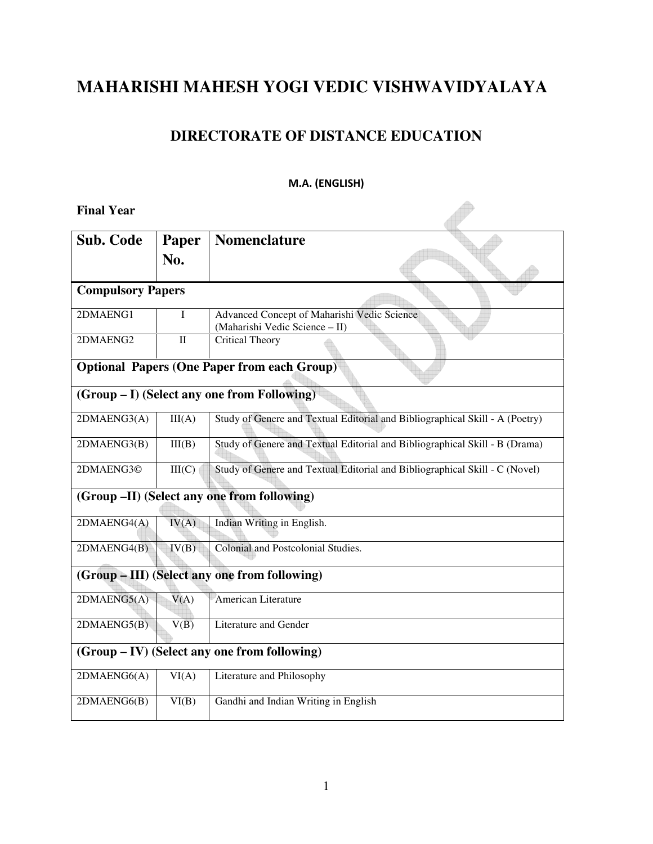# **MAHARISHI MAHESH YOGI VEDIC VISHWAVIDYALAYA**

### **DIRECTORATE OF DISTANCE EDUCATION**

### M.A. (ENGLISH)

| <b>Final Year</b>                            |              |                                                                               |
|----------------------------------------------|--------------|-------------------------------------------------------------------------------|
| <b>Sub. Code</b>                             | Paper        | <b>Nomenclature</b>                                                           |
|                                              | No.          |                                                                               |
| <b>Compulsory Papers</b>                     |              |                                                                               |
| 2DMAENG1                                     | I            | Advanced Concept of Maharishi Vedic Science<br>(Maharishi Vedic Science - II) |
| 2DMAENG2                                     | $\mathbf{I}$ | Critical Theory                                                               |
|                                              |              | <b>Optional Papers (One Paper from each Group)</b>                            |
|                                              |              | (Group – I) (Select any one from Following)                                   |
| 2DMAENG3(A)                                  | III(A)       | Study of Genere and Textual Editorial and Bibliographical Skill - A (Poetry)  |
| 2DMAENG3(B)                                  | III(B)       | Study of Genere and Textual Editorial and Bibliographical Skill - B (Drama)   |
| 2DMAENG3©                                    | III(C)       | Study of Genere and Textual Editorial and Bibliographical Skill - C (Novel)   |
|                                              |              | (Group -II) (Select any one from following)                                   |
| 2DMAENG4(A)                                  | IV(A)        | Indian Writing in English.                                                    |
| 2DMAENG4(B)                                  | IV(B)        | Colonial and Postcolonial Studies.                                            |
|                                              |              | (Group - III) (Select any one from following)                                 |
| 2DMAENG5(A)                                  | V(A)         | American Literature                                                           |
| 2DMAENG5(B)                                  | V(B)         | Literature and Gender                                                         |
| (Group – IV) (Select any one from following) |              |                                                                               |
| 2DMAENG6(A)                                  | VI(A)        | Literature and Philosophy                                                     |
| 2DMAENG6(B)                                  | VI(B)        | Gandhi and Indian Writing in English                                          |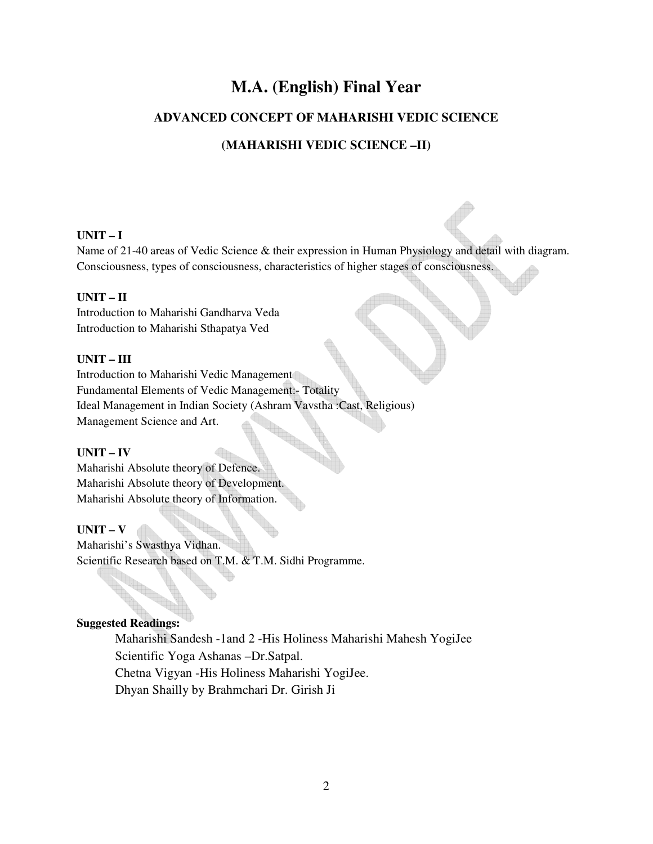# **M.A. (English) Final Year**

### **ADVANCED CONCEPT OF MAHARISHI VEDIC SCIENCE**

### **(MAHARISHI VEDIC SCIENCE –II)**

### **UNIT – I**

Name of 21-40 areas of Vedic Science & their expression in Human Physiology and detail with diagram. Consciousness, types of consciousness, characteristics of higher stages of consciousness.

### **UNIT – II**

Introduction to Maharishi Gandharva Veda Introduction to Maharishi Sthapatya Ved

### **UNIT – III**

Introduction to Maharishi Vedic Management Fundamental Elements of Vedic Management:- Totality Ideal Management in Indian Society (Ashram Vavstha :Cast, Religious)<br>Management Science and Art. Management Science and Art.

### **UNIT – IV**

Maharishi Absolute theory of Defence. Maharishi Absolute theory of Development. Maharishi Absolute theory of Information.

### **UNIT – V**

Maharishi's Swasthya Vidhan. Scientific Research based on T.M. & T.M. Sidhi Programme.

### **Suggested Readings:**

Maharishi Sandesh -1and 2 -His Holiness Maharishi Mahesh YogiJee Scientific Yoga Ashanas –Dr.Satpal. Chetna Vigyan -His Holiness Maharishi YogiJee. Dhyan Shailly by Brahmchari Dr. Girish Ji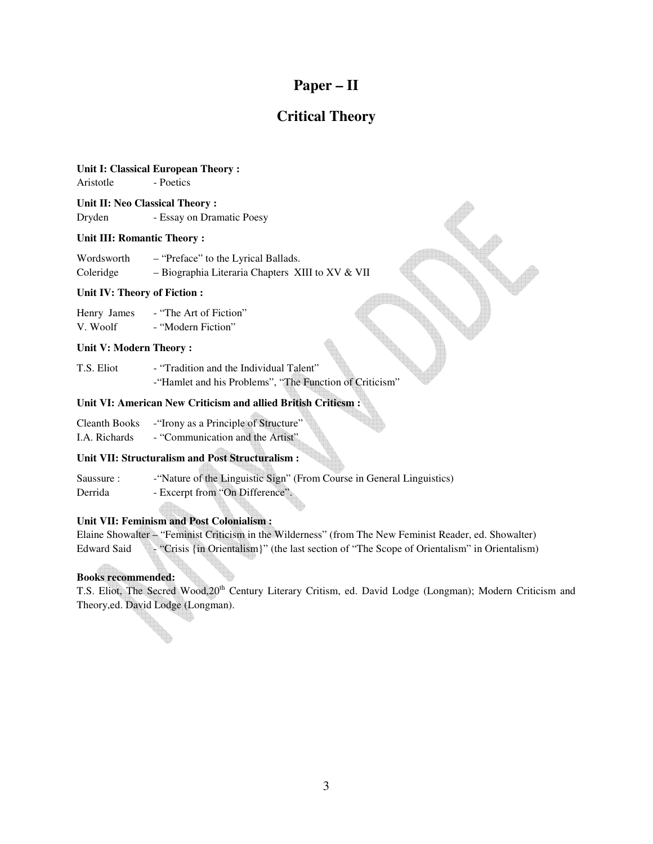### **Paper – II**

### **Critical Theory**

### **Unit I: Classical European Theory :**

Aristotle - Poetics

**Unit II: Neo Classical Theory :**  Dryden - Essay on Dramatic Poesy

### **Unit III: Romantic Theory :**

| Wordsworth | - "Preface" to the Lyrical Ballads.                |
|------------|----------------------------------------------------|
| Coleridge  | $-$ Biographia Literaria Chapters XIII to XV & VII |

#### **Unit IV: Theory of Fiction :**

| Henry James | - "The Art of Fiction" |
|-------------|------------------------|
| V. Woolf    | - "Modern Fiction"     |

#### **Unit V: Modern Theory :**

T.S. Eliot - "Tradition and the Individual Talent" -"Hamlet and his Problems", "The Function of Criticism"

#### **Unit VI: American New Criticism and allied British Criticsm :**

| Cleanth Books | - Trony as a Principle of Structure" |
|---------------|--------------------------------------|
|               |                                      |

I.A. Richards - "Communication and the Artist"

### **Unit VII: Structuralism and Post Structuralism :**

| Saussure: | - "Nature of the Linguistic Sign" (From Course in General Linguistics) |
|-----------|------------------------------------------------------------------------|
| Derrida   | - Excerpt from "On Difference".                                        |

### **Unit VII: Feminism and Post Colonialism :**

|             | Elaine Showalter – "Feminist Criticism in the Wilderness" (from The New Feminist Reader, ed. Showalter) |  |  |
|-------------|---------------------------------------------------------------------------------------------------------|--|--|
| Edward Said | "> "Crisis {in Orientalism}" (the last section of "The Scope of Orientalism" in Orientalism")           |  |  |

### **Books recommended:**

T.S. Eliot, The Secred Wood,20<sup>th</sup> Century Literary Critism, ed. David Lodge (Longman); Modern Criticism and Theory,ed. David Lodge (Longman).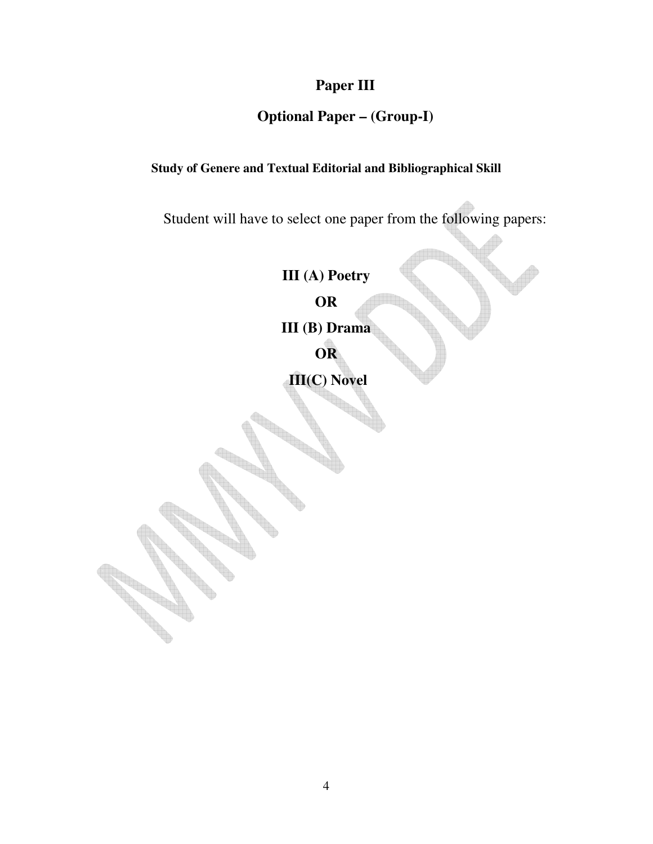# **Paper III**

## **Optional Paper – (Group-I)**

### **Study of Genere and Textual Editorial and Bibliographical Skill**

Student will have to select one paper from the following papers:

**III (A) Poetry OR** 

**III (B) Drama** 

**OR** 

 **III(C) Novel**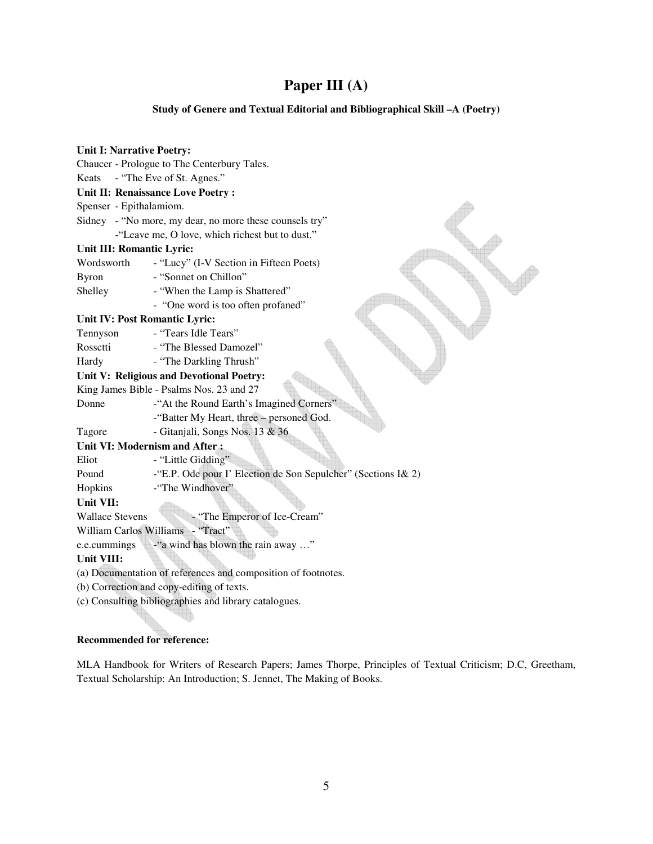# **Paper III (A)**

### **Study of Genere and Textual Editorial and Bibliographical Skill –A (Poetry)**

| <b>Unit I: Narrative Poetry:</b> |                                                               |
|----------------------------------|---------------------------------------------------------------|
|                                  | Chaucer - Prologue to The Centerbury Tales.                   |
| Keats                            | - "The Eve of St. Agnes."                                     |
|                                  | Unit II: Renaissance Love Poetry :                            |
| Spenser - Epithalamiom.          |                                                               |
|                                  | Sidney - "No more, my dear, no more these counsels try"       |
|                                  | -"Leave me, O love, which richest but to dust."               |
| Unit III: Romantic Lyric:        |                                                               |
| Wordsworth                       | - "Lucy" (I-V Section in Fifteen Poets)                       |
| <b>Byron</b>                     | - "Sonnet on Chillon"                                         |
| Shelley                          | - "When the Lamp is Shattered"                                |
|                                  | - "One word is too often profaned"                            |
| Unit IV: Post Romantic Lyric:    |                                                               |
| Tennyson                         | - "Tears Idle Tears"                                          |
| Rossetti                         | - "The Blessed Damozel"                                       |
| Hardy                            | - "The Darkling Thrush"                                       |
|                                  | Unit V: Religious and Devotional Poetry:                      |
|                                  | King James Bible - Psalms Nos. 23 and 27                      |
| Donne                            | -"At the Round Earth's Imagined Corners"                      |
|                                  | -"Batter My Heart, three - personed God.                      |
| Tagore                           | - Gitanjali, Songs Nos. 13 & 36                               |
|                                  | Unit VI: Modernism and After:                                 |
| Eliot                            | - "Little Gidding"                                            |
| Pound                            | -"E.P. Ode pour I' Election de Son Sepulcher" (Sections I& 2) |
| Hopkins                          | -"The Windhover"                                              |
| Unit VII:                        |                                                               |
| <b>Wallace Stevens</b>           | - "The Emperor of Ice-Cream"                                  |
|                                  | William Carlos Williams - "Tract"                             |
| e.e.cummings                     | -"a wind has blown the rain away "                            |
| Unit VIII:                       |                                                               |
|                                  | (a) Documentation of references and composition of footnotes. |
|                                  | (b) Correction and copy-editing of texts.                     |
|                                  | (c) Consulting bibliographies and library catalogues.         |
|                                  |                                                               |

### **Recommended for reference:**

MLA Handbook for Writers of Research Papers; James Thorpe, Principles of Textual Criticism; D.C, Greetham, Textual Scholarship: An Introduction; S. Jennet, The Making of Books.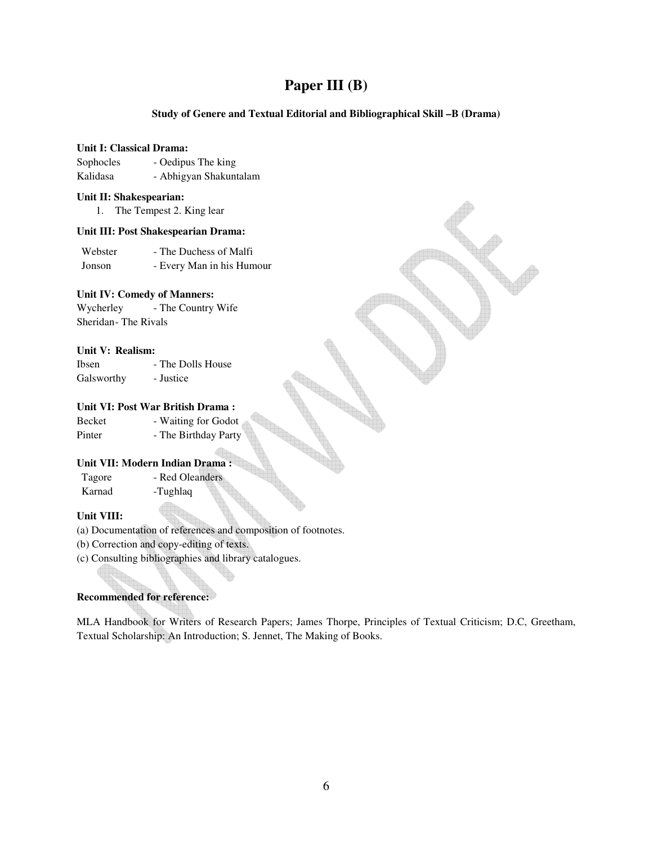### **Paper III (B)**

### **Study of Genere and Textual Editorial and Bibliographical Skill –B (Drama)**

#### **Unit I: Classical Drama:**

| Sophocles | - Oedipus The king     |
|-----------|------------------------|
| Kalidasa  | - Abhigyan Shakuntalam |

#### **Unit II: Shakespearian:**

1. The Tempest 2. King lear

### **Unit III: Post Shakespearian Drama:**

Webster - The Duchess of Malfi Jonson - Every Man in his Humour

### **Unit IV: Comedy of Manners:**

Wycherley - The Country Wife Sheridan - The Rivals

### **Unit V: Realism:**

| Ibsen      | - The Dolls House |
|------------|-------------------|
| Galsworthy | - Justice         |

### **Unit VI: Post War British Drama :**

| Becket | - Waiting for Godot  |
|--------|----------------------|
| Pinter | - The Birthday Party |

### **Unit VII: Modern Indian Drama :**

| Tagore | - Red Oleanders |
|--------|-----------------|
| Karnad | -Tughlaq        |

### **Unit VIII:**

(a) Documentation of references and composition of footnotes.

(b) Correction and copy-editing of texts.

(c) Consulting bibliographies and library catalogues.

### **Recommended for reference:**

MLA Handbook for Writers of Research Papers; James Thorpe, Principles of Textual Criticism; D.C, Greetham, Textual Scholarship: An Introduction; S. Jennet, The Making of Books.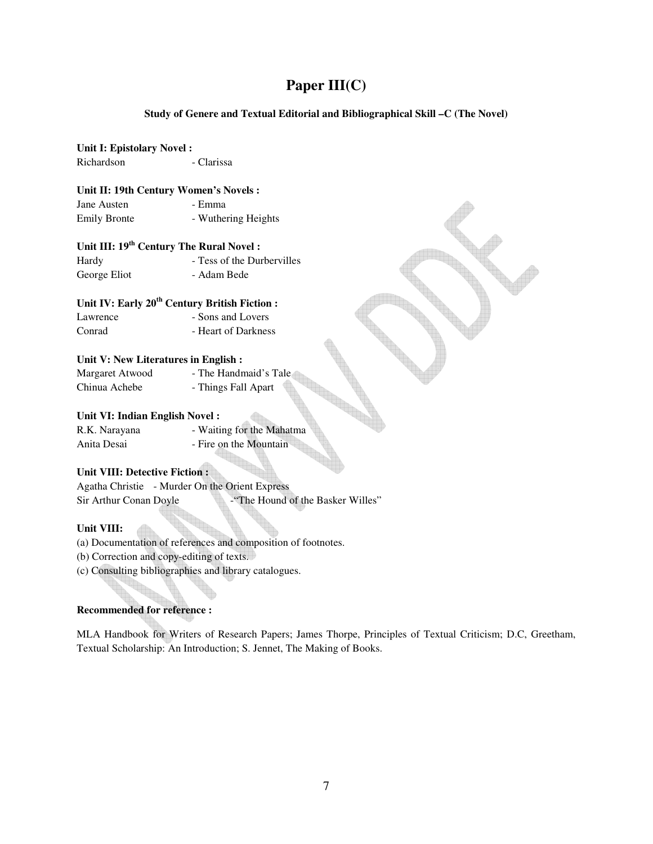### **Paper III(C)**

### **Study of Genere and Textual Editorial and Bibliographical Skill –C (The Novel)**

### **Unit I: Epistolary Novel :**

Richardson - Clarissa

#### **Unit II: 19th Century Women's Novels :**

Jane Austen - Emma Emily Bronte - Wuthering Heights

### **Unit III: 19th Century The Rural Novel :**

| Hardy        | - Tess of the Durbervilles |
|--------------|----------------------------|
| George Eliot | - Adam Bede                |

### **Unit IV: Early 20th Century British Fiction :**

| Lawrence | - Sons and Lovers   |
|----------|---------------------|
| Conrad   | - Heart of Darkness |

### **Unit V: New Literatures in English :**

| Margaret Atwood | - The Handmaid's Tale |
|-----------------|-----------------------|
| Chinua Achebe   | - Things Fall Apart   |

### **Unit VI: Indian English Novel :**

R.K. Narayana - Waiting for the Mahatma Anita Desai - Fire on the Mountain

### **Unit VIII: Detective Fiction :**

Agatha Christie - Murder On the Orient Express Sir Arthur Conan Doyle - "The Hound of the Basker Willes"

### **Unit VIII:**

(a) Documentation of references and composition of footnotes.

(b) Correction and copy-editing of texts.

(c) Consulting bibliographies and library catalogues.

### **Recommended for reference :**

MLA Handbook for Writers of Research Papers; James Thorpe, Principles of Textual Criticism; D.C, Greetham, Textual Scholarship: An Introduction; S. Jennet, The Making of Books.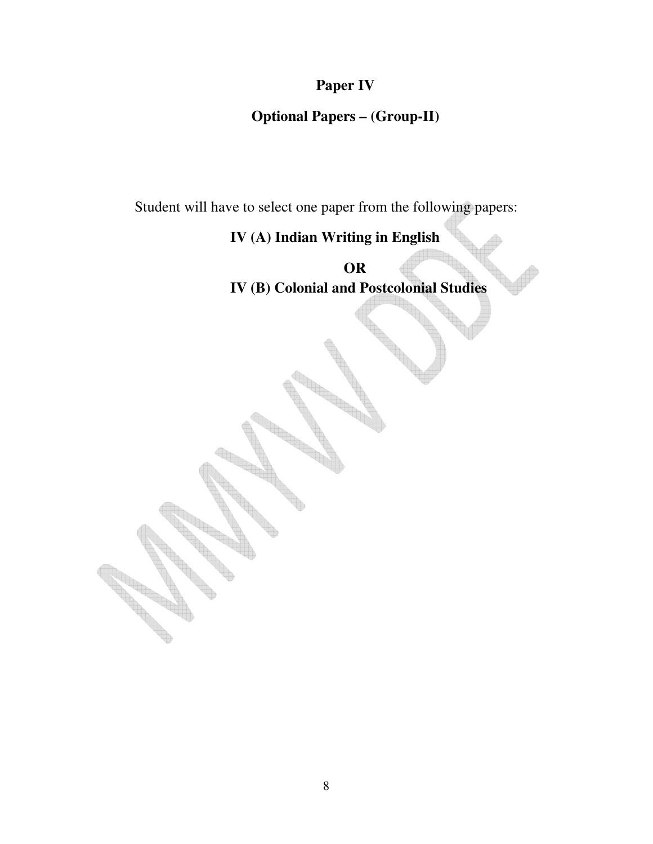# **Paper IV**

### **Optional Papers – (Group-II)**

Student will have to select one paper from the following papers:

# **IV (A) Indian Writing in English**

**OR IV (B) Colonial and Postcolonial Studies**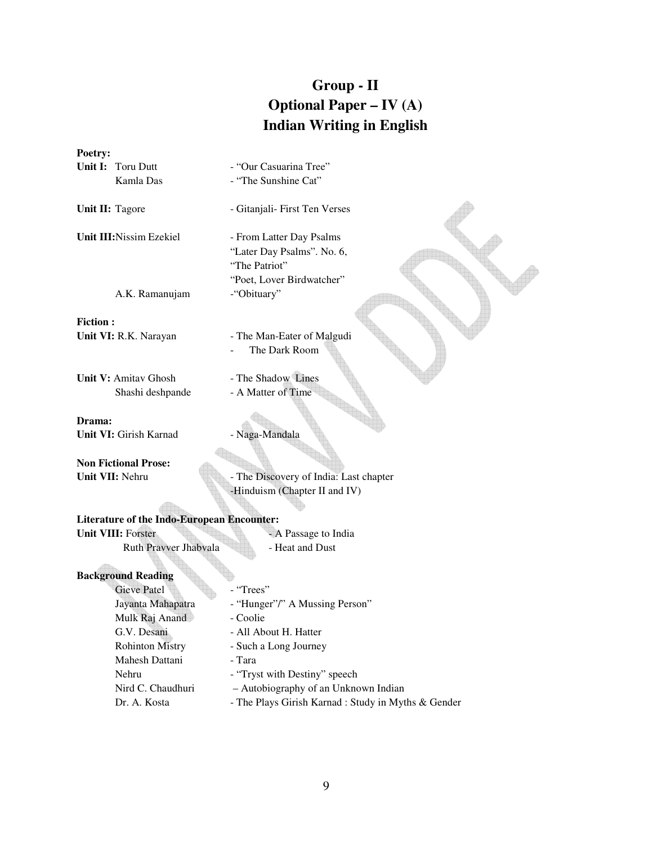# **Group - II Optional Paper – IV (A) Indian Writing in English**

| Poetry: |                          |                        |
|---------|--------------------------|------------------------|
|         | <b>Unit I:</b> Toru Dutt | - "Our Casuarina Tree" |
|         | Kamla Das                | - "The Sunshine Cat"   |

Unit II: Tagore **- Gitanjali- First Ten Verses** 

**Unit III:**Nissim Ezekiel - From Latter Day Psalms

A.K. Ramanujam - "Obituary"

**Fiction :**  Unit VI: R.K. Narayan - The Man-Eater of Malgudi

**Unit V:** Amitav Ghosh - The Shadow Lines Shashi deshpande - A Matter of Time

**Drama: Unit VI:** Girish Karnad - Naga-Mandala

**Non Fictional Prose:** 

- "The Sunshine Cat"

"Later Day Psalms". No. 6,

"Poet, Lover Birdwatcher"

The Dark Room

"The Patriot"

Unit VII: Nehru - The Discovery of India: Last chapter -Hinduism (Chapter II and IV)

| <b>Literature of the Indo-European Encounter:</b> |                      |  |
|---------------------------------------------------|----------------------|--|
| <b>Unit VIII:</b> Forster                         | - A Passage to India |  |
| <b>Ruth Prayver Jhabyala</b>                      | - Heat and Dust      |  |

 $\bigoplus$ 

### **Background Reading**

Gieve Patel - "Trees" Jayanta Mahapatra - "Hunger"/" A Mussing Person" Mulk Raj Anand - Coolie G.V. Desani - All About H. Hatter Rohinton Mistry - Such a Long Journey Mahesh Dattani - Tara Nehru - "Tryst with Destiny" speech Nird C. Chaudhuri – Autobiography of an Unknown Indian Dr. A. Kosta - The Plays Girish Karnad : Study in Myths & Gender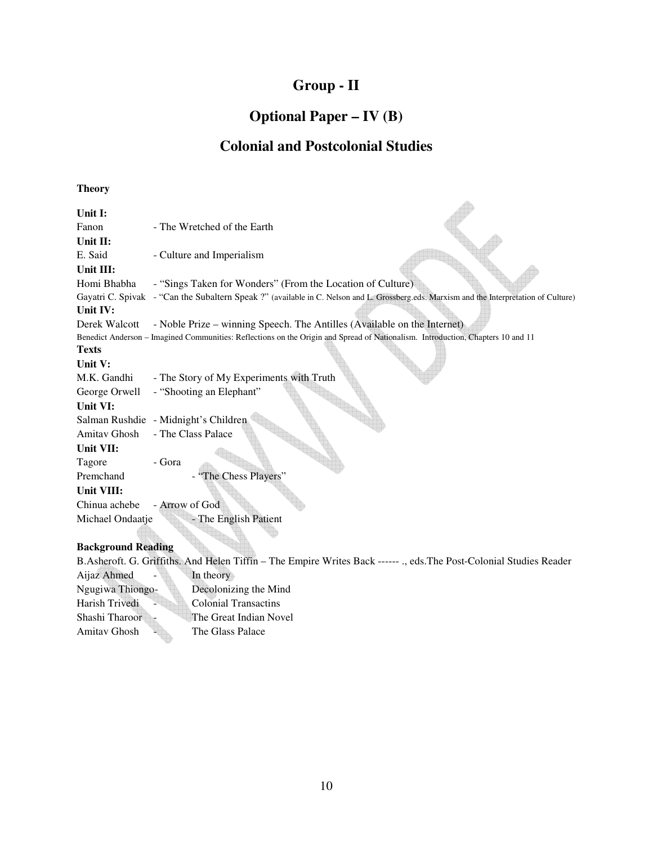# **Group - II**

## **Optional Paper – IV (B)**

### **Colonial and Postcolonial Studies**

 $\Delta\mathbf{b}$ 

### **Theory**

| Unit I:                   |                                                                                                                                          |
|---------------------------|------------------------------------------------------------------------------------------------------------------------------------------|
| Fanon                     | - The Wretched of the Earth                                                                                                              |
| Unit II:                  |                                                                                                                                          |
| E. Said                   | - Culture and Imperialism                                                                                                                |
| Unit III:                 |                                                                                                                                          |
| Homi Bhabha               | - "Sings Taken for Wonders" (From the Location of Culture)                                                                               |
|                           | Gayatri C. Spivak - "Can the Subaltern Speak ?" (available in C. Nelson and L. Grossberg.eds. Marxism and the Interpretation of Culture) |
| Unit IV:                  |                                                                                                                                          |
| Derek Walcott             | - Noble Prize – winning Speech. The Antilles (Available on the Internet)                                                                 |
|                           | Benedict Anderson - Imagined Communities: Reflections on the Origin and Spread of Nationalism. Introduction, Chapters 10 and 11          |
| <b>Texts</b>              |                                                                                                                                          |
| Unit V:                   |                                                                                                                                          |
| M.K. Gandhi               | - The Story of My Experiments with Truth                                                                                                 |
| George Orwell             | - "Shooting an Elephant"                                                                                                                 |
| Unit VI:                  |                                                                                                                                          |
|                           | Salman Rushdie - Midnight's Children                                                                                                     |
| Amitav Ghosh              | - The Class Palace                                                                                                                       |
| Unit VII:                 |                                                                                                                                          |
| Tagore                    | - Gora                                                                                                                                   |
| Premchand                 | "The Chess Players"                                                                                                                      |
| Unit VIII:                |                                                                                                                                          |
| Chinua achebe             | - Arrow of God                                                                                                                           |
| Michael Ondaatje          | - The English Patient                                                                                                                    |
|                           |                                                                                                                                          |
| <b>Background Reading</b> |                                                                                                                                          |
|                           |                                                                                                                                          |

B.Asheroft. G. Griffiths. And Helen Tiffin – The Empire Writes Back ------ ., eds.The Post-Colonial Studies Reader Aijaz Ahmed - In theory Ngugiwa Thiongo- Decolonizing the Mind Harish Trivedi - Colonial Transactins Shashi Tharoor - The Great Indian Novel Amitav Ghosh - The Glass Palace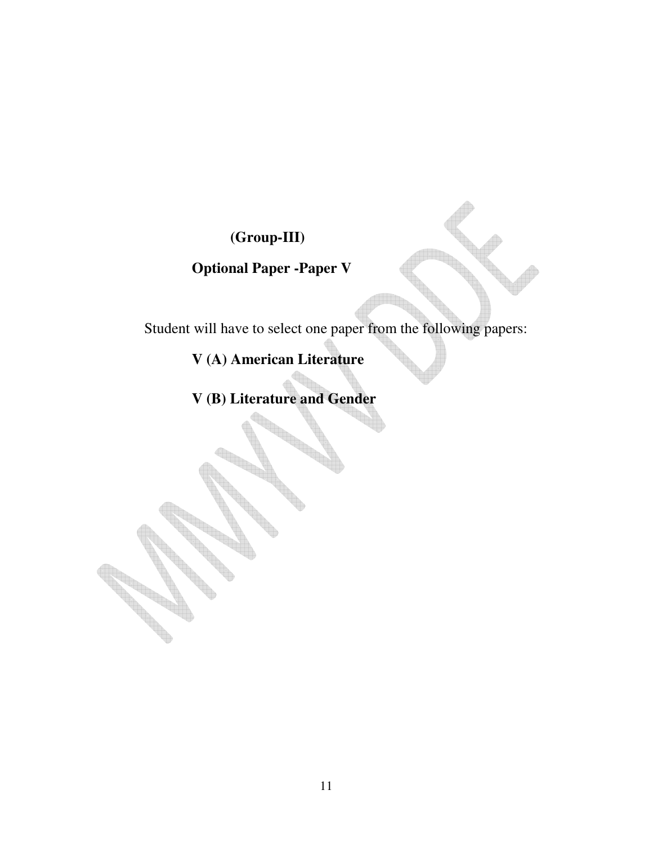# **(Group-III)**

# **Optional Paper -Paper V**

Student will have to select one paper from the following papers:

**V (A) American Literature** 

**V (B) Literature and Gender**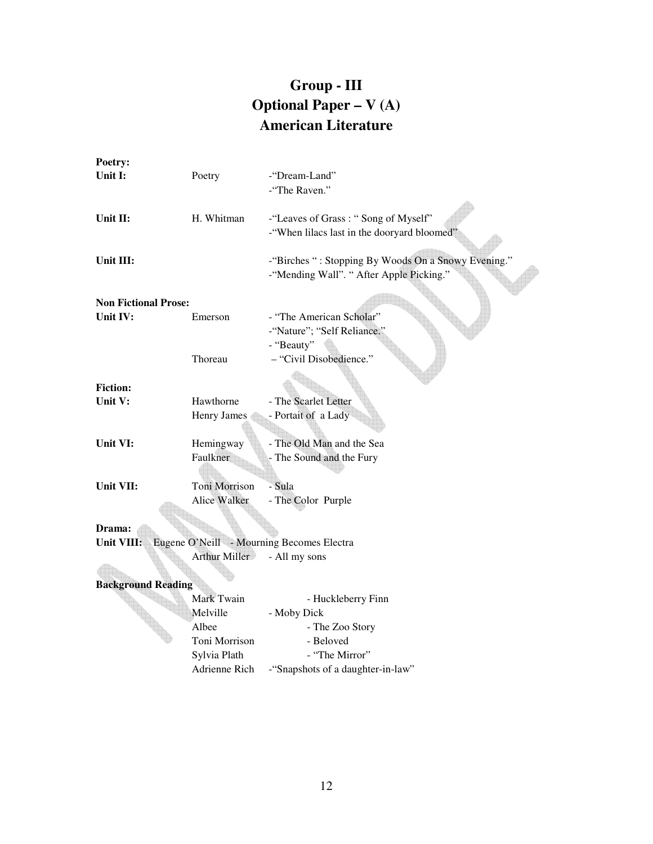# **Group - III Optional Paper – V (A) American Literature**

| Poetry:                     |               |                                                     |
|-----------------------------|---------------|-----------------------------------------------------|
| Unit I:                     | Poetry        | -"Dream-Land"                                       |
|                             |               | -"The Raven."                                       |
|                             |               |                                                     |
| Unit II:                    | H. Whitman    | -"Leaves of Grass: "Song of Myself"                 |
|                             |               | -"When lilacs last in the dooryard bloomed"         |
|                             |               |                                                     |
| Unit III:                   |               | -"Birches ": Stopping By Woods On a Snowy Evening." |
|                             |               | -"Mending Wall". " After Apple Picking."            |
|                             |               |                                                     |
| <b>Non Fictional Prose:</b> |               |                                                     |
| Unit IV:                    | Emerson       | - "The American Scholar"                            |
|                             |               | -"Nature"; "Self Reliance."                         |
|                             |               | - "Beauty"                                          |
|                             | Thoreau       | - "Civil Disobedience."                             |
|                             |               |                                                     |
| <b>Fiction:</b>             |               |                                                     |
| Unit V:                     | Hawthorne     | - The Scarlet Letter                                |
|                             | Henry James   | - Portait of a Lady                                 |
|                             |               |                                                     |
| Unit VI:                    | Hemingway     | - The Old Man and the Sea                           |
|                             | Faulkner      | - The Sound and the Fury                            |
|                             |               |                                                     |
| Unit VII:                   | Toni Morrison | - Sula                                              |
|                             | Alice Walker  | - The Color Purple                                  |
|                             |               |                                                     |
| Drama:                      |               |                                                     |
| Unit VIII:                  | Arthur Miller | Eugene O'Neill - Mourning Becomes Electra           |
|                             |               | - All my sons                                       |
| <b>Background Reading</b>   |               |                                                     |
|                             | Mark Twain    | - Huckleberry Finn                                  |
|                             | Melville      | - Moby Dick                                         |
|                             | Albee         | - The Zoo Story                                     |
|                             | Toni Morrison | - Beloved                                           |
|                             | Sylvia Plath  | - "The Mirror"                                      |
|                             | Adrienne Rich | -"Snapshots of a daughter-in-law"                   |
|                             |               |                                                     |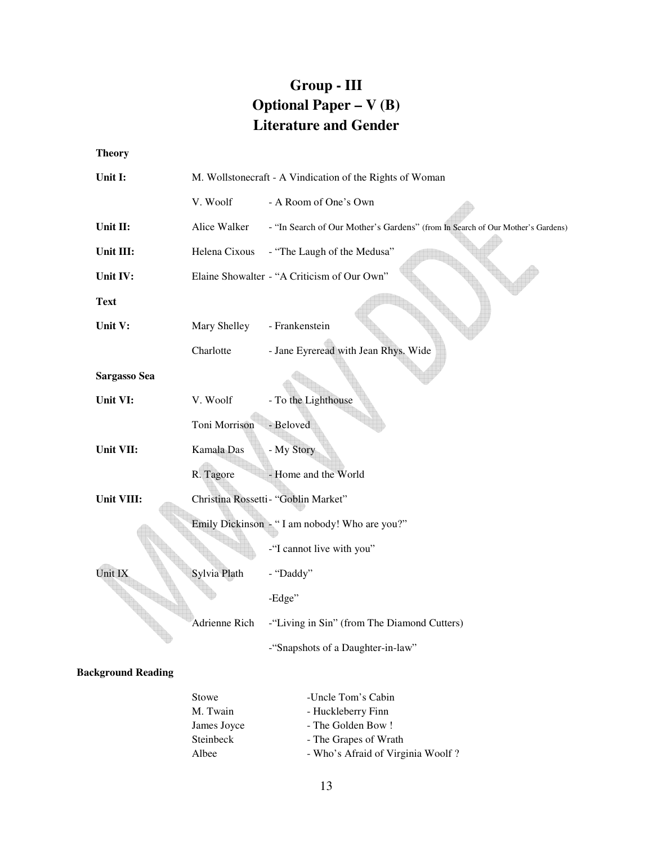# **Group - III Optional Paper – V (B) Literature and Gender**

**Theory** 

| Unit I:             | M. Wollstonecraft - A Vindication of the Rights of Woman |                                                                                |
|---------------------|----------------------------------------------------------|--------------------------------------------------------------------------------|
|                     | V. Woolf                                                 | - A Room of One's Own                                                          |
| Unit II:            | Alice Walker                                             | - "In Search of Our Mother's Gardens" (from In Search of Our Mother's Gardens) |
| Unit III:           | Helena Cixous                                            | - "The Laugh of the Medusa"                                                    |
| Unit IV:            |                                                          | Elaine Showalter - "A Criticism of Our Own"                                    |
| <b>Text</b>         |                                                          |                                                                                |
| Unit V:             | Mary Shelley                                             | - Frankenstein                                                                 |
|                     | Charlotte                                                | - Jane Eyreread with Jean Rhys. Wide                                           |
| <b>Sargasso Sea</b> |                                                          |                                                                                |
| Unit VI:            | V. Woolf                                                 | - To the Lighthouse                                                            |
|                     | Toni Morrison                                            | - Beloved                                                                      |
| Unit VII:           | Kamala Das                                               | - My Story                                                                     |
|                     | R. Tagore                                                | - Home and the World                                                           |
| Unit VIII:          |                                                          | Christina Rossetti- "Goblin Market"                                            |
|                     |                                                          | Emily Dickinson - "I am nobody! Who are you?"                                  |
|                     |                                                          | -"I cannot live with you"                                                      |
| Unit IX             | Sylvia Plath                                             | - "Daddy"                                                                      |
|                     |                                                          | -Edge"                                                                         |
|                     | Adrienne Rich                                            | -"Living in Sin" (from The Diamond Cutters)                                    |
|                     |                                                          | -"Snapshots of a Daughter-in-law"                                              |

### **Background Reading**

| Stowe       | -Uncle Tom's Cabin                |
|-------------|-----------------------------------|
| M. Twain    | - Huckleberry Finn                |
| James Joyce | - The Golden Bow!                 |
| Steinbeck   | - The Grapes of Wrath             |
| Albee       | - Who's Afraid of Virginia Woolf? |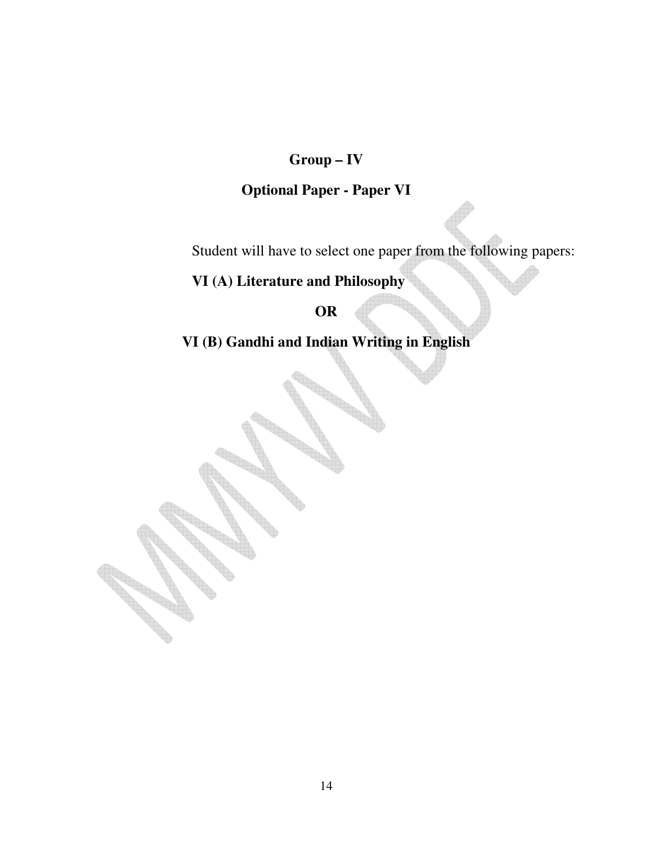# **Group – IV**

# **Optional Paper - Paper VI**

Student will have to select one paper from the following papers:

# **VI (A) Literature and Philosophy**

### **OR**

**VI (B) Gandhi and Indian Writing in English**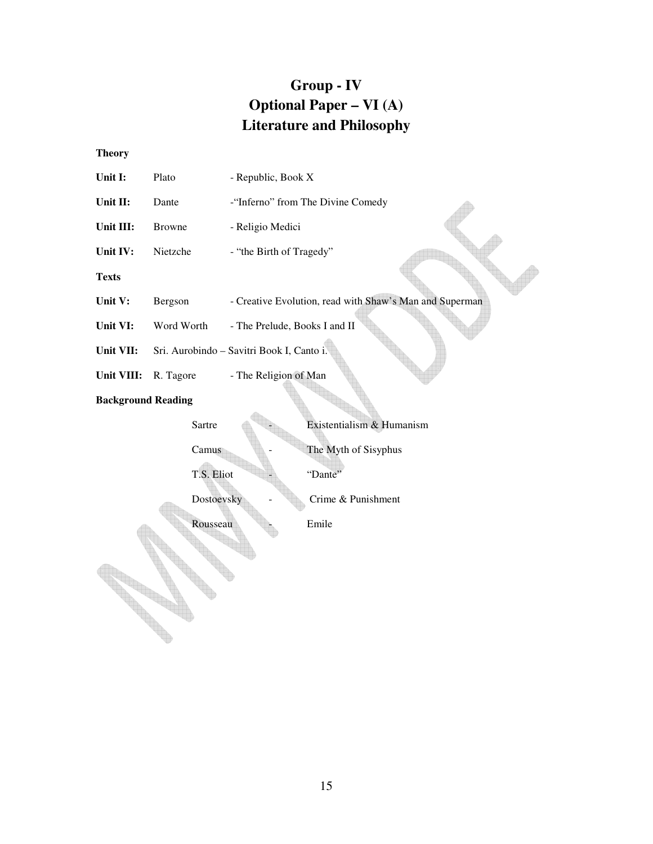# **Group - IV Optional Paper – VI (A) Literature and Philosophy**

**Theory** 

| Unit I:                   | Plato         | - Republic, Book X                                      |
|---------------------------|---------------|---------------------------------------------------------|
| Unit II:                  | Dante         | -"Inferno" from The Divine Comedy                       |
| Unit III:                 | <b>Browne</b> | - Religio Medici                                        |
| Unit IV:                  | Nietzche      | - "the Birth of Tragedy"                                |
| <b>Texts</b>              |               |                                                         |
| Unit V:                   | Bergson       | - Creative Evolution, read with Shaw's Man and Superman |
| Unit VI:                  | Word Worth    | - The Prelude, Books I and II                           |
| Unit VII:                 |               | Sri. Aurobindo - Savitri Book I, Canto i.               |
| Unit VIII:                | R. Tagore     | - The Religion of Man                                   |
| <b>Background Reading</b> |               |                                                         |
|                           | Sartre        | Existentialism & Humanism                               |
|                           | Camus         | The Myth of Sisyphus                                    |
|                           | T.S. Eliot    | "Dante"                                                 |
|                           | Dostoevsky    | Crime & Punishment                                      |
| Rousseau<br>Emile         |               |                                                         |
|                           |               |                                                         |
|                           |               |                                                         |
|                           |               |                                                         |
|                           |               |                                                         |
|                           |               |                                                         |